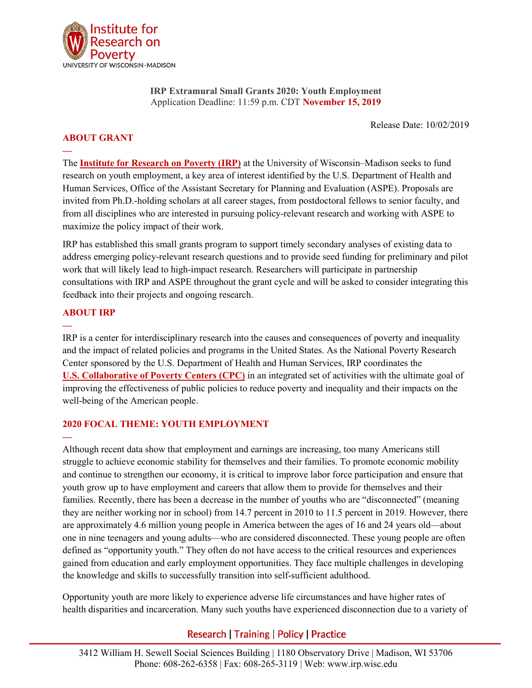

**IRP Extramural Small Grants 2020: Youth Employment** Application Deadline: 11:59 p.m. CDT **November 15, 2019**

Release Date: 10/02/2019

# **ABOUT GRANT**

**—**

The **[Institute for Research on Poverty \(IRP\)](https://www.irp.wisc.edu/)** at the University of Wisconsin–Madison seeks to fund research on youth employment, a key area of interest identified by the U.S. Department of Health and Human Services, Office of the Assistant Secretary for Planning and Evaluation (ASPE). Proposals are invited from Ph.D.-holding scholars at all career stages, from postdoctoral fellows to senior faculty, and from all disciplines who are interested in pursuing policy-relevant research and working with ASPE to maximize the policy impact of their work.

IRP has established this small grants program to support timely secondary analyses of existing data to address emerging policy-relevant research questions and to provide seed funding for preliminary and pilot work that will likely lead to high-impact research. Researchers will participate in partnership consultations with IRP and ASPE throughout the grant cycle and will be asked to consider integrating this feedback into their projects and ongoing research.

# **ABOUT IRP**

**—**

**—**

IRP is a center for interdisciplinary research into the causes and consequences of poverty and inequality and the impact of related policies and programs in the United States. As the National Poverty Research Center sponsored by the U.S. Department of Health and Human Services, IRP coordinates the **U.S. [Collaborative of Poverty Centers \(CPC\)](https://www.irp.wisc.edu/u-s-collaborative-of-poverty-centers-cpc/)** in an integrated set of activities with the ultimate goal of improving the effectiveness of public policies to reduce poverty and inequality and their impacts on the well-being of the American people.

## **2020 FOCAL THEME: YOUTH EMPLOYMENT**

Although recent data show that employment and earnings are increasing, too many Americans still struggle to achieve economic stability for themselves and their families. To promote economic mobility and continue to strengthen our economy, it is critical to improve labor force participation and ensure that youth grow up to have employment and careers that allow them to provide for themselves and their families. Recently, there has been a decrease in the number of youths who are "disconnected" (meaning they are neither working nor in school) from 14.7 percent in 2010 to 11.5 percent in 2019. However, there are approximately 4.6 million young people in America between the ages of 16 and 24 years old—about one in nine teenagers and young adults—who are considered disconnected. These young people are often defined as "opportunity youth." They often do not have access to the critical resources and experiences gained from education and early employment opportunities. They face multiple challenges in developing the knowledge and skills to successfully transition into self-sufficient adulthood.

Opportunity youth are more likely to experience adverse life circumstances and have higher rates of health disparities and incarceration. Many such youths have experienced disconnection due to a variety of

# **Research | Training | Policy | Practice**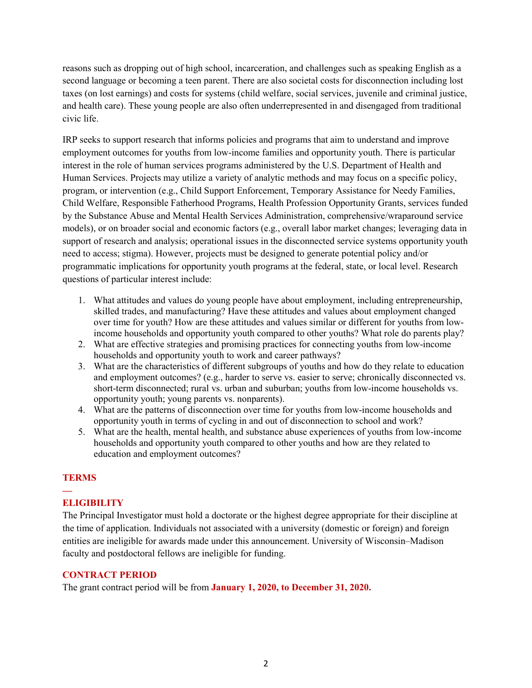reasons such as dropping out of high school, incarceration, and challenges such as speaking English as a second language or becoming a teen parent. There are also societal costs for disconnection including lost taxes (on lost earnings) and costs for systems (child welfare, social services, juvenile and criminal justice, and health care). These young people are also often underrepresented in and disengaged from traditional civic life.

IRP seeks to support research that informs policies and programs that aim to understand and improve employment outcomes for youths from low-income families and opportunity youth. There is particular interest in the role of human services programs administered by the U.S. Department of Health and Human Services. Projects may utilize a variety of analytic methods and may focus on a specific policy, program, or intervention (e.g., Child Support Enforcement, Temporary Assistance for Needy Families, Child Welfare, Responsible Fatherhood Programs, Health Profession Opportunity Grants, services funded by the Substance Abuse and Mental Health Services Administration, comprehensive/wraparound service models), or on broader social and economic factors (e.g., overall labor market changes; leveraging data in support of research and analysis; operational issues in the disconnected service systems opportunity youth need to access; stigma). However, projects must be designed to generate potential policy and/or programmatic implications for opportunity youth programs at the federal, state, or local level. Research questions of particular interest include:

- 1. What attitudes and values do young people have about employment, including entrepreneurship, skilled trades, and manufacturing? Have these attitudes and values about employment changed over time for youth? How are these attitudes and values similar or different for youths from lowincome households and opportunity youth compared to other youths? What role do parents play?
- 2. What are effective strategies and promising practices for connecting youths from low-income households and opportunity youth to work and career pathways?
- 3. What are the characteristics of different subgroups of youths and how do they relate to education and employment outcomes? (e.g., harder to serve vs. easier to serve; chronically disconnected vs. short-term disconnected; rural vs. urban and suburban; youths from low-income households vs. opportunity youth; young parents vs. nonparents).
- 4. What are the patterns of disconnection over time for youths from low-income households and opportunity youth in terms of cycling in and out of disconnection to school and work?
- 5. What are the health, mental health, and substance abuse experiences of youths from low-income households and opportunity youth compared to other youths and how are they related to education and employment outcomes?

#### **TERMS**

#### **— ELIGIBILITY**

The Principal Investigator must hold a doctorate or the highest degree appropriate for their discipline at the time of application. Individuals not associated with a university (domestic or foreign) and foreign entities are ineligible for awards made under this announcement. University of Wisconsin–Madison faculty and postdoctoral fellows are ineligible for funding.

#### **CONTRACT PERIOD**

The grant contract period will be from **January 1, 2020, to December 31, 2020.**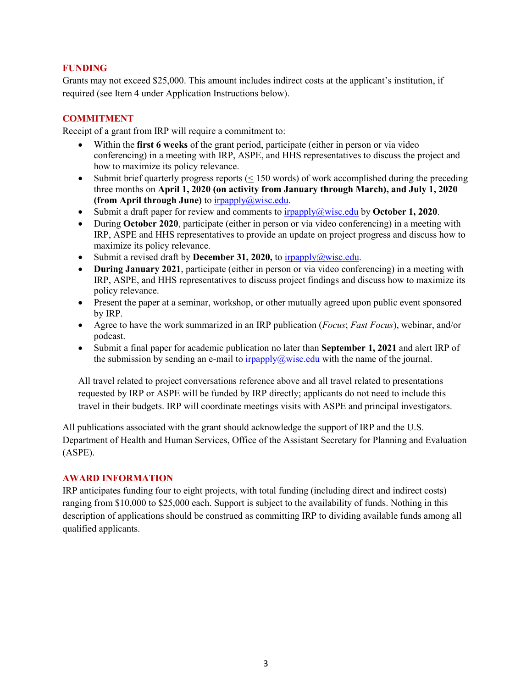#### **FUNDING**

Grants may not exceed \$25,000. This amount includes indirect costs at the applicant's institution, if required (see Item 4 under Application Instructions below).

# **COMMITMENT**

Receipt of a grant from IRP will require a commitment to:

- Within the **first 6 weeks** of the grant period, participate (either in person or via video conferencing) in a meeting with IRP, ASPE, and HHS representatives to discuss the project and how to maximize its policy relevance.
- Submit brief quarterly progress reports  $(< 150$  words) of work accomplished during the preceding three months on **April 1, 2020 (on activity from January through March), and July 1, 2020 (from April through June)** to [irpapply@wisc.edu.](mailto:irpapply@wisc.edu)
- Submit a draft paper for review and comments to [irpapply@wisc.edu](mailto:irpapply@wisc.edu) by **October 1, 2020**.
- During **October 2020**, participate (either in person or via video conferencing) in a meeting with IRP, ASPE and HHS representatives to provide an update on project progress and discuss how to maximize its policy relevance.
- Submit a revised draft by **December 31, 2020**, to  $\frac{1}{2}$  irpapply  $\frac{a}{2}$  wisc.edu.
- **During January 2021**, participate (either in person or via video conferencing) in a meeting with IRP, ASPE, and HHS representatives to discuss project findings and discuss how to maximize its policy relevance.
- Present the paper at a seminar, workshop, or other mutually agreed upon public event sponsored by IRP.
- Agree to have the work summarized in an IRP publication (*Focus*; *Fast Focus*), webinar, and/or podcast.
- Submit a final paper for academic publication no later than **September 1, 2021** and alert IRP of the submission by sending an e-mail to  $\frac{1}{(2\pi)^{1/2}}$  is  $\frac{1}{(2\pi)^{1/2}}$  with the name of the journal.

All travel related to project conversations reference above and all travel related to presentations requested by IRP or ASPE will be funded by IRP directly; applicants do not need to include this travel in their budgets. IRP will coordinate meetings visits with ASPE and principal investigators.

All publications associated with the grant should acknowledge the support of IRP and the U.S. Department of Health and Human Services, Office of the Assistant Secretary for Planning and Evaluation (ASPE).

#### **AWARD INFORMATION**

IRP anticipates funding four to eight projects, with total funding (including direct and indirect costs) ranging from \$10,000 to \$25,000 each. Support is subject to the availability of funds. Nothing in this description of applications should be construed as committing IRP to dividing available funds among all qualified applicants.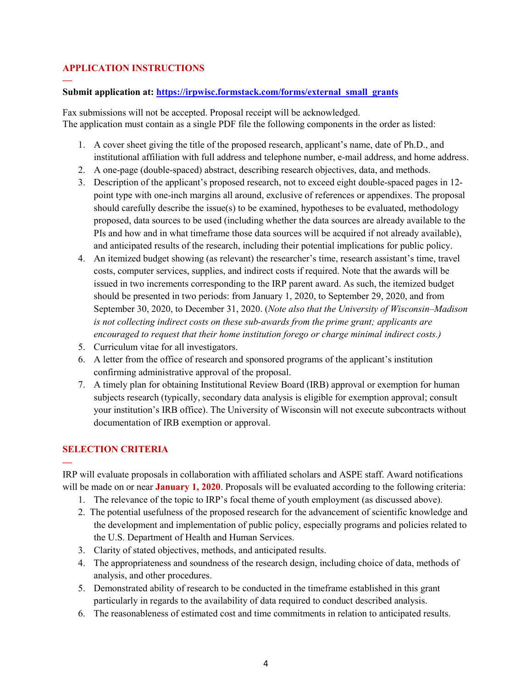## **APPLICATION INSTRUCTIONS**

**—**

#### **Submit application at: [https://irpwisc.formstack.com/forms/external\\_small\\_grants](https://irpwisc.formstack.com/forms/external_small_grants)**

Fax submissions will not be accepted. Proposal receipt will be acknowledged. The application must contain as a single PDF file the following components in the order as listed:

- 1. A cover sheet giving the title of the proposed research, applicant's name, date of Ph.D., and institutional affiliation with full address and telephone number, e-mail address, and home address.
- 2. A one-page (double-spaced) abstract, describing research objectives, data, and methods.
- 3. Description of the applicant's proposed research, not to exceed eight double-spaced pages in 12 point type with one-inch margins all around, exclusive of references or appendixes. The proposal should carefully describe the issue(s) to be examined, hypotheses to be evaluated, methodology proposed, data sources to be used (including whether the data sources are already available to the PIs and how and in what timeframe those data sources will be acquired if not already available), and anticipated results of the research, including their potential implications for public policy.
- 4. An itemized budget showing (as relevant) the researcher's time, research assistant's time, travel costs, computer services, supplies, and indirect costs if required. Note that the awards will be issued in two increments corresponding to the IRP parent award. As such, the itemized budget should be presented in two periods: from January 1, 2020, to September 29, 2020, and from September 30, 2020, to December 31, 2020. (*Note also that the University of Wisconsin–Madison is not collecting indirect costs on these sub-awards from the prime grant; applicants are encouraged to request that their home institution forego or charge minimal indirect costs.)*
- 5. Curriculum vitae for all investigators.
- 6. A letter from the office of research and sponsored programs of the applicant's institution confirming administrative approval of the proposal.
- 7. A timely plan for obtaining Institutional Review Board (IRB) approval or exemption for human subjects research (typically, secondary data analysis is eligible for exemption approval; consult your institution's IRB office). The University of Wisconsin will not execute subcontracts without documentation of IRB exemption or approval.

## **SELECTION CRITERIA**

**—**

IRP will evaluate proposals in collaboration with affiliated scholars and ASPE staff. Award notifications will be made on or near **January 1, 2020**. Proposals will be evaluated according to the following criteria:

- 1. The relevance of the topic to IRP's focal theme of youth employment (as discussed above).
- 2. The potential usefulness of the proposed research for the advancement of scientific knowledge and the development and implementation of public policy, especially programs and policies related to the U.S. Department of Health and Human Services.
- 3. Clarity of stated objectives, methods, and anticipated results.
- 4. The appropriateness and soundness of the research design, including choice of data, methods of analysis, and other procedures.
- 5. Demonstrated ability of research to be conducted in the timeframe established in this grant particularly in regards to the availability of data required to conduct described analysis.
- 6. The reasonableness of estimated cost and time commitments in relation to anticipated results.